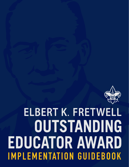

# **ELBERT K. FRETWELL** OUTSTANDING **EDUCATOR AWARD IMPLEMENTATION GUIDEBOOK**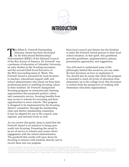

The Elbert K. Fretwell Outstanding<br>Educator Award has been develope<br>by the Educational Relationships<br>Subcommittee (EBSC) of the National Co Educator Award has been developed by the Educational Relationships Subcommittee (ERSC) of the National Council of the Boy Scouts of America. Dr. Fretwell<sup>1</sup> was a professor of education at Columbia University, an early thinker in the Scouting movement, and the second Chief Scout Executive of the BSA (succeeding James E. West). The Fretwell Award is presented by local Scouters to teachers, educational support staff, and school administrators who stand out from their professional peers in instilling Scouting values in their students. Dr. Fretwell championed Scouting programs as extracurricular learning opportunities that promoted positive values and community service. Scouting benefits from easy access to schools for recruiting and from opportunities to serve schools. This program is designed to be implemented by the Scouting district<sup>2</sup> committee, through the membership chair and district membership committee. It may be adapted for use at the council, area, regional, and national levels as well.

As you review this guide, keep in mind that the Fretwell Award is an initiative to bring more youth into Scouting. Presenting the award is an act of service to schools and creates direct engagement with the school administration. The goodwill that results will open doors for Scouting to interact with students directly and to recruit them into our program.

Each local council and district has the freedom to tailor the Fretwell Award process to their local school situation. In that spirit, this guidebook provides guidelines, implementation options, presentation approaches, and suggestions.

You will need to understand some of the philosophy behind this award so you can make the best decisions on how to implement it. You should also be aware that while this program is intended to reach all levels of education from elementary up to the college level, this document is written from the perspective of working with elementary education organizations.

<sup>&</sup>lt;sup>1</sup> For more information about the life of Dr. Fretwell, see the biographical sketch provided in the appendix.

<sup>2</sup> In different locations, the administrative unit for a group of schools goes by different names. Even though the term "school district" is fairly common, to avoid confusion in this document, the term "school system" is used to refer to a group of centrally administrated schools and the term "district" refers exclusively to a Scouting district. In the rest of this document, a "school system" could be made up of public, private, charter, or religious schools.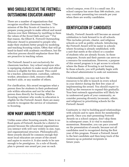## **WHO SHOULD RECEIVE THE FRETWELL OUTSTANDING EDUCATOR AWARD?**

There are a number of organizations that recognize excellent classroom teachers. "The mission of the Boy Scouts of America is to prepare young people to make ethical and moral choices over their lifetimes by instilling in them the values of the Scout Oath and Law."3 For that reason, the Elbert K. Fretwell Outstanding Educator Award is presented to people who make their students better people by modeling and teaching Scouting values. Often that will go hand-in-hand with academic excellence, but the selection process should emphasize those that are proactive in teaching values.

The Fretwell Award is not exclusively for classroom teachers. Any school employee who is equipping students to make moral and ethical choices is eligible for this award. This could be a teacher, administrator, custodian, cafeteria worker, attendance clerk, resource officer, teacher's aide, or any number of others.

For clarification, this award recognizes what a person does for students in their professional role within education and not for what the person does directly for Scouting. While a Scouting volunteer who works in education is eligible for the Fretwell Award, there are many awards to recognize the service of volunteers to Scouting.

## **HOW MANY AWARDS TO PRESENT**

Unlike some other Scouting awards, there is no fixed quota of Fretwell Awards for a district to present because the educational organizations you interact with will vary widely in size, type, and organizational structure. Philosophically, these awards should be common enough that most local educators are aware of the award and aspire to receive it. It also needs to be rare enough to be prestigious. As a rule of thumb, plan to present one award per year on each

school campus, even if it is a small one. If a school campus has more than 500 students, you may consider presenting two awards per year when there are worthy candidates.

## **IDENTIFICATION OF CANDIDATES**

Ideally, Fretwell Awards will become an annual celebration to look forward to in all schools. This includes private, charter, and religious schools as well as public schools. Introducing the Fretwell Award will be easier in schools where Scouting is already established, with a unit that meets at the school or a number of students who are already Scouts. In those campuses, Scouts and their parents can serve as a resource for nominations. However, a purpose of this award program is to get access to schools where the flame of Scouting is not burning. In those schools, you will probably begin with the school administrator to seek out nominees.

Understandably, you may not have the resources to be able to launch in every school in your district during the first few years of implementing the award. You should expect to build up the resources to expand this gradually. Your best outreach opportunities will likely be in underserved parts of your community, so consider pursuing diversity (economic, ethnic, and religious) in prioritizing schools for the Fretwell Award.

Continuity is vital to building good relationships with schools and to open doors for membership growth. Once you start presenting Fretwell Awards on a school campus, don't skip them in subsequent years. It is vital to maintain momentum. Remember, you can pace yourself on the presentation of awards, because not all candidates need to recognized during the first year of this program. Present a Fretwell Award to the best candidate and then keep track of the runners-up as potential recipients in future years.

<sup>3</sup> Mission Statement of the Boy Scouts of America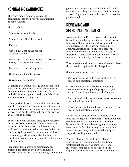## **NOMINATING CANDIDATES**

There are many potential sources for nominations for the Fretwell Outstanding Educator Award.

These include:

- **•** Students in the schools
- Student council of the school
- Parents
- Other educators in the school or school system
- Members of local civic groups, like Rotary, Lions, VFW, American Legion, etc.
- Members of local faith groups
- Customers at local businesses
- Current active Scouters

Depending on which strategy you choose, you may want to customize a nomination form for that audience. A sample nomination form is included in the appendix to this guidebook for you to use as a starting point.

It is important to keep the nomination process simple. Only ask for enough information on the form to get the review process started. You can always flesh out the details during your review and selection process.

Be careful to use ordinary language to describe the award. While we are all familiar with the meaning of the Scout Oath and Scout Law, it will need to be explained more directly for the community in general. Your nomination form is also an opportunity to polish the image of Scouting in your community and to make contact with families.

Remember that parents of elementary age children are often in their 30s and have a different relationship with technology than older generations. Encourage email submittals and consider providing a way to text the information as well. A photo of the nomination form may be good enough.

## **REVIEWING AND SELECTING CANDIDATES**

Nominees for the Fretwell Award should not be told they are being considered for the award to prevent them from being disappointed or embarrassed if they are not selected. The Fretwell Award is based on one's personal reputation, so discretion and due process are important. A bad selection could embarrass the recipient, the school, and local Scouting.

Form a search and selection committee of at least three people to get multiple viewpoints.

Some of your options are to:

- **•** Use your standing district committee as the search and selection committee
- **•** Create a temporary taskforce of Scouting volunteers for this specific purpose as you would for an Eagle Scout board of review
- **•** Recruit local civic leaders to serve as the search and selection committee
- **•** Create a panel of local educators to serve as the search and selection committee

The selection committee may include people who are not registered Scouters. A retired teacher or administrator, or a member of the school board could add valuable insight as you make selections. In fact, including some "outsiders" is another good way to form relationships to support Scouting membership.

Plan to interview at least three references who know the candidate in the candidate's professional capacity. A sample reference interview form has been provided in the appendix with questions you can use when you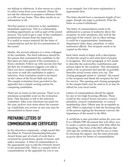are talking to references. It also serves as a place to collect notes from your research. Please do not ask the reference to prepare a reference letter or to fill out any forms. This often results in no information at all.

The first person to interview is the candidate's immediate supervisor. This is a relationship building opportunity as well as part of the award process. You need to get a copy of the candidate's professional resume from the supervisor. It is useful as source material for the letter of commendation and for the live presentation of the award.

Ideally, the second reference is a close colleague of the candidate. The third reference should be the person that nominated the candidate in the first place (or their parent if the nomination is from a student). Follow up with anyone else that the first set of references suggests you talk to. Once you have completed the interviews, you can score or rank the candidates to make a selection. Your evaluation needs to be based on the values of the Scout Oath and Law. The sample evaluation form provided in the appendix has a simple scoring system for comparing candidates.

There are no losers in this process. There is no minimum acceptable score on the evaluation form. That decision is left to the selection committee. After your selections are made for the year, archive your notes about the runnersup. Candidates you review in one year may be reconsidered in future years.

## **PREPARING LETTERS OF COMMENDATION AND CERTIFICATES**

In the education community, a high award like the Elbert K. Fretwell Outstanding Educator Award forms part of a body of work that is reviewed for promotions, grants of tenure, and salary increases. A letter of commendation is the appropriate way to add the Fretwell Award to the personnel file. There is a sample letter of commendation in the appendix for you to use

as an example, but a bit more explanation is appropriate here.

The letter should have a maximum length of two pages, though one page is preferred. Print the letter on council letterhead.

The letter of commendation needs to be addressed to a person of authority above the recipient. In most situations, this will be the principal of the school, but in other settings, it could be a superintendent, headmaster, department chair, dean, president, or other institution official. The recipient needs to be copied on the letter.

Each letter needs to begin with a description of what the award is and what kind of people it recognizes. The next paragraph or two needs to describe the noteworthy contributions and actions taken by the recipient. This description needs to be as personal and specific as possible. Describe actual events when you can. The closing paragraph needs to "present" the award to the recipient and thank the recipient for her/ his service. The opening and closing paragraphs in the sample letter may be used as is or may be edited for your local needs.

Letters of commendation should be signed by one or two high Scouting officials. These could be the council Scout executive, council president, council commissioner, or council membership chair. Others may be acceptable as well. What is important is that the Scouting title of the person signing the document conveys the importance of the award to the BSA.

A certificate is also provided online for your use. It is a fillable PDF document that will allow you to create a custom document with little effort for formatting. The titles of the BSA officials that will sign the certificate are left for you to enter. In choosing the signers, use the same principle as given above for letters of commendation.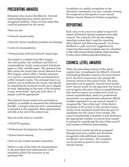## **PRESENTING AWARDS**

Educators who receive the Elbert K. Fretwell Outstanding Educator Award need to be recognized publicly. There are four items that could be presented for the award.

These are the

- **•** Fretwell Award medal
- **•** Fretwell Award certificate (suitable for framing)
- **•** Letter of commendation
- **•** Personal item with the Fretwell Award logo

The medal is available from BSA Supply. You will produce the certificate and letter of commendation locally using council letterhead paper or other suitable paper. The personal item that carries the award logo can be obtained from BSA Supply, which offers a limited selection, or it can be a customized item purchased from a BSA licensed vendor. The personal item is an indirect way to publicize the award, and should be something the recipient would use or display at work. Depending on the taste of the recipient, a mug, water bottle, lapel pin, polo shirt, or plaque could be appropriate.

The Fretwell Award needs to be presented as publicly as possible to maximize the relationship benefits. A sample script for such a presentation is included in the appendix. Most opportunities will fall at the end of the school year.

Here are some ideas to consider:

- **•** PTA/PTO meeting
- **•** Professional development day assembly
- **•** School board meeting
- **•** End-of-year student awards ceremonies

Deliver a copy of the letter of commendation to the principal/chief administrator of the recipient's school for inclusion in the personnel file.

In addition to a public recognition in the education community, you may consider inviting the recipients as free guests to your annual District Awards Dinner for further recognition.

## **REPORTING**

Each year, every council is asked to report the names of Fretwell Award recipients from their council. The councils will use the existing reporting system that is used for reporting Silver Beaver and lifesaving awards. As always, feedback is a gift, and your suggestions for improving this award program may be submitted to the Educational Relationships Subcommittee at *education.relationships@scouting.org*.

## **COUNCIL LEVEL AWARDS**

While the preceding sections of this guide explain how to implement the Elbert K. Fretwell Outstanding Educator Award at the local district level, the local council may also present the Fretwell Award at the council level. The same principles can be applied. Council level awards serve various needs. In one approach, the council can recognize educators whose accomplishments have had an impact on a wider level, such as a school superintendent, head of a professional association, or a regional/state education official. Another approach is to use council awards to recognize the "best of the best" of the district recipients of the award. In this second version, district level recipients would form the pool of candidates for the council level awards. The council membership committee would determine the appropriate number of council level awards to present by considering the size of the council and number of districts participating.

Council level awards should be promoted through local news outlets and should be recognized with additional ceremonies, certificates, and citations. The recipients can be invited as guests to the Council Awards Dinner.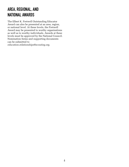## **AREA, REGIONAL, AND NATIONAL AWARDS**

The Elbert K. Fretwell Outstanding Educator Award can also be presented at an area, region, or national level. At these levels, the Fretwell Award may be presented to worthy organizations as well as to worthy individuals. Awards at these levels must be approved by the National Council. Nomination forms and supporting documents can be submitted to *education.relationships@scouting.org*.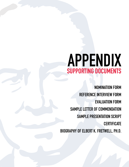## **APPENDIX SUPPORTING DOCUMENTS**

**[NOMINATION FORM](#page-8-0)  [REFERENCE INTERVIEW FORM](#page-9-0)  [EVALUATION FORM](#page-11-0)  [SAMPLE LETTER OF COMMENDATION](#page-12-0)  [SAMPLE PRESENTATION SCRIPT](#page-13-0)   [CERTIFICATE](#page-14-0)  [BIOGRAPHY OF ELBERT K. FRETWELL, PH.D.](#page-15-0)**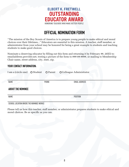## **OFFICIAL NOMINATION FORM**

<span id="page-8-0"></span>"The mission of the Boy Scouts of America is to prepare young people to make ethical and moral choices over their lifetimes..." Educators are essential to this mission. A teacher, staff member, or administrator from your school may be honored for being a great example to students and teaching students to make good choices.

Nominate a deserving educator by filling out this form and returning it by February ##, 20XX to: emailaddress.provider.net, texting a picture of the form to ###-##-####, or mailing to Membership Chair name, street address, city, state, zip.

#### **YOUR CONTACT INFORMATION:**

|                          |              | I am a (circle one) O Student O Parent O Colleague Administrator |  |  |  |  |
|--------------------------|--------------|------------------------------------------------------------------|--|--|--|--|
| <b>NAME</b>              | <b>PHONE</b> | <b>EMAIL ADDRESS</b>                                             |  |  |  |  |
| <b>ABOUT THE NOMINEE</b> |              |                                                                  |  |  |  |  |
| <b>NAME</b>              |              | <b>POSITION</b>                                                  |  |  |  |  |

**SCHOOL LOCATION WHERE THE NOMINEE WORKS**

Please tell us how this teacher, staff member, or administrator prepares students to make ethical and moral choices. Be as specific as you can.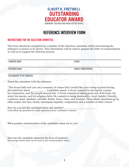## **REFERENCE INTERVIEW FORM**

#### <span id="page-9-0"></span>**INSTRUCTIONS FOR THE SELECTION COMMITTEE:**

This form should be completed by a member of the selection committee while interviewing the reference in person or by phone. This information will be used to prepare the letter of commendation as well as to support the selection process.

| <b>CANDIDATE NAME</b>         | <b>SCHOOL</b>               |
|-------------------------------|-----------------------------|
|                               |                             |
|                               |                             |
|                               |                             |
| <b>REFERENCE NAME</b>         | <b>CONTACT PHONE NUMBER</b> |
|                               |                             |
|                               |                             |
|                               |                             |
| RELATIONSHIP TO THE CANDIDATE |                             |

Share this statement with the reference:

"The Scout Oath and Law are a summary of values that I would like you to keep in mind during this interview about (candidate name). A Scout commits to serving his country, his community, and the people around him. A Scout commits to taking good care of his body, his mind, his morals, and his religious faith. He commits to being trustworthy, loyal, helpful, friendly, courteous, kind, obedient, cheerful, thrifty, brave, clean, and reverent. These ideals sometimes go by other names, but they clearly encompass empathy, compassion, and a number of other virtues."

How do you and the candidate know one another? *(Ask follow-up questions to verify experience from candidate's resume.)*

What positive characteristics of the candidate stand out to you?

How has the candidate impacted the lives of students? *(Encourage stories that can be used in the commendation letter.)*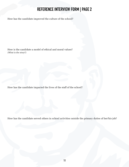## **REFERENCE INTERVIEW FORM | PAGE 2**

How has the candidate improved the culture of the school?

How is the candidate a model of ethical and moral values? *(What is the story?)*

How has the candidate impacted the lives of the staff of the school?

How has the candidate served others in school activities outside the primary duties of her/his job?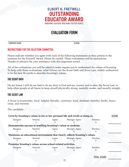## **EVALUATION FORM**

#### <span id="page-11-0"></span>**CANDIDATE NAME SCHOOL**

#### **INSTRUCTIONS FOR THE SELECTION COMMITTEE:**

Please indicate whether you agree with each of the following statements as they pertain to the nominee for the Fretwell Award. Please be candid. These evaluations will be anonymous. Thanks in advance for your assistance with this important award.

All of the evaluations you will be asked to make require you to understand the values of Scouting. To help with those evaluations, what follows are the Scout Oath and Scout Law, widely understood to be the best 56 words to describe Scouting's values.

#### **THE SCOUT OATH**

On my honor I will do my best to do my duty to God and my country and to obey the Scout Law; to help other people at all times; to keep myself physically strong, mentally awake, and morally straight.

#### **THE SCOUT LAW**

A Scout is trustworthy, loyal, helpful, friendly, courteous, kind, obedient, cheerful, thrifty, brave, clean, and reverent.

The candidate…

| Lives by Scouting's values in his or her personal life and excels at doing so. |         |       |                       |                 |  |  |
|--------------------------------------------------------------------------------|---------|-------|-----------------------|-----------------|--|--|
| <b>Disagree</b>                                                                | Neutral | Agree | <b>Strongly Agree</b> | Peerless        |  |  |
| Demonstrates success in instilling Scouting's values in students.              |         |       |                       |                 |  |  |
| <b>Disagree</b>                                                                | Neutral | Agree | <b>Strongly Agree</b> | <b>Peerless</b> |  |  |
| Maintains an educational environment that clearly reflects Scouting's values.  |         |       |                       |                 |  |  |
| <b>Disagree</b>                                                                | Neutral | Agree | <b>Strongly Agree</b> | Peerless        |  |  |
| Promotes Scouting's values across school-related activities.                   |         |       |                       |                 |  |  |
| <b>Disagree</b>                                                                | Neutral | Agree | <b>Strongly Agree</b> | Peerless        |  |  |

**TOTAL SCORE**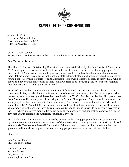

## **SAMPLE LETTER OF COMMENDATION**

<span id="page-12-0"></span>January 1, 2016 Dr. Senior Administrator Any School or District USA Address Anycity, ST, Zip

CC: Ms. Good Teacher Re: Ms. Good Teacher Awarded Elbert K. Fretwell Outstanding Educator Award

Dear Dr. Administrator:

The Elbert K. Fretwell Outstanding Educator Award was established by the Boy Scouts of America in 2016 to recognize the valuable contributions that educators make in the lives of young people. The Boy Scouts of America's mission is to prepare young people to make ethical and moral choices over their lifetimes, and we recognize that teachers, staff, administrators, and others involved in educating young people are valuable partners in that mission. This award exists to recognize individuals who go above and beyond the call of duty to instill what we refer to as "Scouting Values," but we recognize that they are great "Teaching Values" as well.

Ms. Good Teacher has been selected as a winner of this award due not only to her diligence in her classroom duties, but also her commitment to the school and community. For the last five years, she has served as a volunteer youth basketball coach with the YMCA. Ms. Teacher led her fifth grade class from Anyschool Elementary in volunteering at the Special Olympics last May where her class learned about people with special needs in their community. She has actively volunteered as a Girl Scout leader for GSUSA Troop 9999. She has actively served her church community for the last three years as a Sunday school teacher at AnyChurch USA. Additionally, she is known to be actively involved in the PTA where she serves many extra hours helping the parents of first generation American children navigate and understand the American educational system.

Ms. Teacher was nominated for this award by parents of the young people in her class, and affirmed by her colleagues and supervisors as worthy of this recognition. The Boy Scouts of America is pleased to honor Ms. Teacher as a Fretwell Outstanding Educator, and to thank her for the service that she has given and will continue to give to influence young people to make moral and ethical choices.

Sincerely,

John Q. Scoutexec CEO/Scout Executive

Any BSA Council Street Address City State Zip www.anybsacouncil.org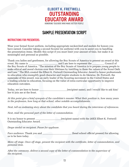## **SAMPLE PRESENTATION SCRIPT**

#### <span id="page-13-0"></span>**INSTRUCTIONS FOR PRESENTERS:**

Wear your formal Scout uniform, including appropriate neckerchief and medals for honors you have earned. Consider taking a second Scouter (in uniform) with you to assist you in handling the presentation items. Modify this script if you must limit your amount of time, but make it as meaningful and personal as possible.

Thank you ladies and gentlemen, for allowing the Boy Scouts of America to present an award at this event. My name is **and I am here to represent the Council of** the Boy Scouts of America. "The mission of the Boy Scouts of America is to prepare young people to make ethical and moral choices over their lifetimes by instilling in them the values of the Scout Oath and Law." The BSA created the Elbert K. Fretwell Outstanding Educator Award to honor professionals in education who exemplify good character and inspire students to do likewise. Dr. Fretwell, the namesake of this award, was an early leader of the Scouting movement in the United States and a leading scholar in education, focusing on the value of extra-curricular opportunity to improve education outcomes.

Today, we are here to honor **the summand in the set of the set of the set of the set of the set of the set of the set of the set of the set of the set of the set of the set of the set of the set of the set of the set of th** her to join me at the front.

*At this point give a brief synopsis of the candidate's resume: What their position is, how many years in the profession, how long at that school, other notable accomplishments.*

*Next, tell an endearing story about the candidate that you heard during the interviews of references.*

*Next, read the personal part of the letter of commendation.*

It is my honor to present \_\_\_\_\_\_\_\_\_\_\_\_\_\_\_\_\_(recipient name) with the 20XX Elbert K. Fretwell Outstanding Educator Award.

*Drape medal on recipient. Pause for applause.*

*Face audience.* Thank you and **the contract of the contract of the contract of the contract of the contract of the contract of the contract of the contract of the contract of the contract of the contract of the contract o** us to be here today.

*Move off stage. Once off stage, present the recipient with the certificate, letter of commendation, and personal item.*

*After the ceremony, deliver a second copy of the letter of commendation to the supervisor of the recipient.*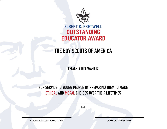<span id="page-14-0"></span>

## **THE BOY SCOUTS OF AMERICA**

**PRESENTS THIS AWARD TO**

## **FOR SERVICE TO YOUNG PEOPLE BY PREPARING THEM TO MAKE ETHICAL AND MORAL CHOICES OVER THEIR LIFETIMES**

**DATE**

**COUNCIL SCOUT EXECUTIVE**

**COUNCIL PRESIDENT**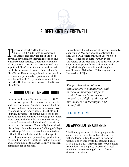# <span id="page-15-0"></span>**ELBERT KIRTLEY FRETWELL**

Professor Elbert Kirtley Fretwell,<br>Ph.D. (1878–1962), was an American<br>academic and early leader in the<br>of youth development through recreat Ph.D. (1878–1962), was an American academic and early leader in the field of youth development through recreation and extracurricular activity. Upon the retirement of Dr. James E. West in 1943, Dr. Fretwell was appointed Chief Scout Executive and served until his retirement in 1948. He was the only Chief Scout Executive appointed to the position who was not previously a professional staff member of the BSA. Upon his retirement from the BSA, Dr. Fretwell was bestowed the title of Chief Scout.

## **CHILDHOOD AND YOUNG ADULTHOOD**

Born in rural Lewis County, Missouri in 1878, E.K. Fretwell grew into a man of varied talents and varied interests. As a boy, he used his time plowing to focus on his reading and recall. With two books in the family home—the Bible and *Pilgrim's Progress*—he would place one of the books at the end of a row. He would plow several more rows, and while the horses were resting, he would review what he had read to work on improving his memory. Eventually he received his undergraduate degree from LaGrange College in LaGrange, Missouri, where he was noted as both a brilliant scholar and the best singer in the college glee club. Upon college graduation, he joined the faculty, teaching English literature and serving also as the Lewis County, Missouri, commissioner of schools.

He continued his education at Brown University, acquiring an MA degree, and continued his affiliation with singing through Brown's glee club. He engaged in further study at the University of Chicago and two additional years spent in Europe, studying both music and English during his travels and during his enrollment at Heidelberg University and the University of Dijon.

*The problem of enabling our pupils to live in a democracy and to make democracy a fit place in which to live is an insistent necessity, a delight, and a test of our ideas, of our technique, and of our faith.*

#### **-E.K. FRETWELL, 1931**

## **AN APPRECIATIVE AUDIENCE**

The first appreciation of his singing talents came from the cows he looked after on his father's farm. Calling the cows in from the pasture one evening with his standard call of S-W-E-E-E-E-E-K!!! (moving across two octaves from a low C to a high C) impressed a local musician, who encouraged him to further develop his talents.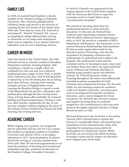## **FAMILY LIFE**

In 1919, he married Jean Hossford, a faculty member at the Teachers College at Columbia University. Mrs. Fretwell published three children's books and served as the director of camping for the Girl Scouts of the Greater New York area. They had two sons, E.K. Fretwell Jr. and James H. "Stretch" Fretwell. E.K. was an accomplished college administrator serving as chancellor at two major state institutions. James was an engineer at Los Alamos National Laboratory and an active Exploring Advisor.

## **CAREER IN MUSIC**

Upon his return to the United States, the elder Fretwell served as a faculty member at Brooklyn Polytechnic Institute, teaching English. Still unwilling to commit to a single career, he combined two into one and was a featured professional tenor singer in New York. A profile of Dr. Fretwell in the *New York World* described a typical day in his life during this era as lasting more than 20 hours, starting with teaching multiple sections of English before noon, crossing the Brooklyn Bridge to report to work at the Hippodrome for practice, rehearsals, and performances through the late evening hours. Upon arriving home after midnight, he resumed grading and lesson preparations, retiring at 2:30 a.m. Each Sunday, supposedly his day of rest, was not complete without singing in the choir of the Classon Avenue Presbyterian Church for both morning and evening services.

## **ACADEMIC CAREER**

While singing was a passion, he recognized that he ultimately did not care for it as a career. He enrolled as a graduate student at Columbia University and earned a Ph.D. in secondary education in 1917. Upon graduation, he joined the faculty serving as a faculty member from 1918 until 1943. He received appointments as an associate professor of Scouting and recreational leadership and later, professor of education at the Teachers College, Columbia University.

In 1918 Dr. Fretwell was appointed by the surgeon general of the United States together with the American Red Cross to supervise recreation work in United States Army "reconstruction hospitals."

His interest in Scouting drew from his professional interest in extracurricular education. To this end, Dr. Fretwell had extensive and long-lasting volunteer service with the BSA's National Council, beginning as early as 1915. He served as a member of BSA's Department of Education—the forerunner of our current Education Relationships Subcommittee. He had an early appreciation both for the educative power of Scouting—but also the importance of preparing volunteers and professionals to understand and to deliver the program. His professional career and his volunteer service to Scouting in many ways were not distinct from each other—he appreciated the union of formal and informal education in helping young people to grow into effective citizens. Dr. Fretwell lectured widely on Scouting throughout the nation and additionally provided academic preparation for both volunteer and professional Scouters. By the early 1920s, he was teaching courses for academic credit at Columbia University, covering topics such as Scouting and Scoutcraft, recreation education, and a course designed for Scout executives. Dr. Fretwell also served to explore and support Scouting from an academic perspective. His contributions to this area were noted in the highly regarded *Teacher's College Record* as early as 1922.

His book *Extracurricular Activities in Secondary Schools* (1931) allowed him to explore his interest in considerable detail, documenting how experiences in the extracurricular realm were important for preparing young adults for participation in a democratic nation. While his book was not exclusively about Scouting, Scouting's values and its impact on education were integral parts of the book.